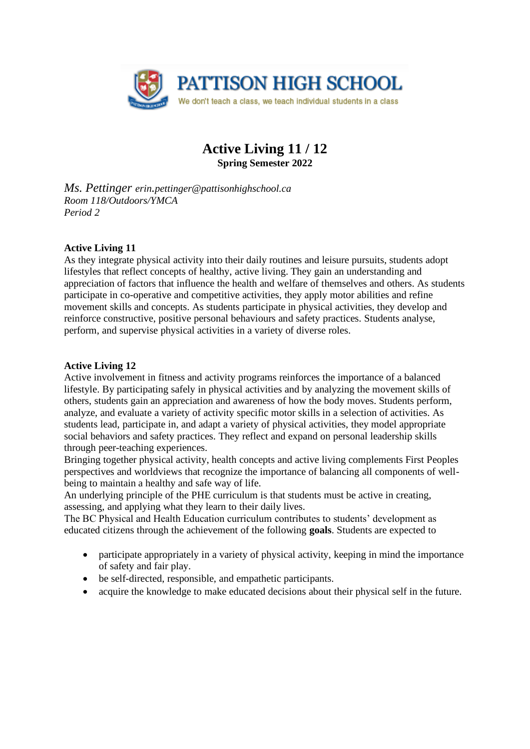

# **Active Living 11 / 12 Spring Semester 2022**

*Ms. Pettinger erin.pettinger@pattisonhighschool.ca Room 118/Outdoors/YMCA Period 2* 

## **Active Living 11**

As they integrate physical activity into their daily routines and leisure pursuits, students adopt lifestyles that reflect concepts of healthy, active living. They gain an understanding and appreciation of factors that influence the health and welfare of themselves and others. As students participate in co-operative and competitive activities, they apply motor abilities and refine movement skills and concepts. As students participate in physical activities, they develop and reinforce constructive, positive personal behaviours and safety practices. Students analyse, perform, and supervise physical activities in a variety of diverse roles.

#### **Active Living 12**

Active involvement in fitness and activity programs reinforces the importance of a balanced lifestyle. By participating safely in physical activities and by analyzing the movement skills of others, students gain an appreciation and awareness of how the body moves. Students perform, analyze, and evaluate a variety of activity specific motor skills in a selection of activities. As students lead, participate in, and adapt a variety of physical activities, they model appropriate social behaviors and safety practices. They reflect and expand on personal leadership skills through peer-teaching experiences.

Bringing together physical activity, health concepts and active living complements First Peoples perspectives and worldviews that recognize the importance of balancing all components of wellbeing to maintain a healthy and safe way of life.

An underlying principle of the PHE curriculum is that students must be active in creating, assessing, and applying what they learn to their daily lives.

The BC Physical and Health Education curriculum contributes to students' development as educated citizens through the achievement of the following **goals**. Students are expected to

- participate appropriately in a variety of physical activity, keeping in mind the importance of safety and fair play.
- be self-directed, responsible, and empathetic participants.
- acquire the knowledge to make educated decisions about their physical self in the future.